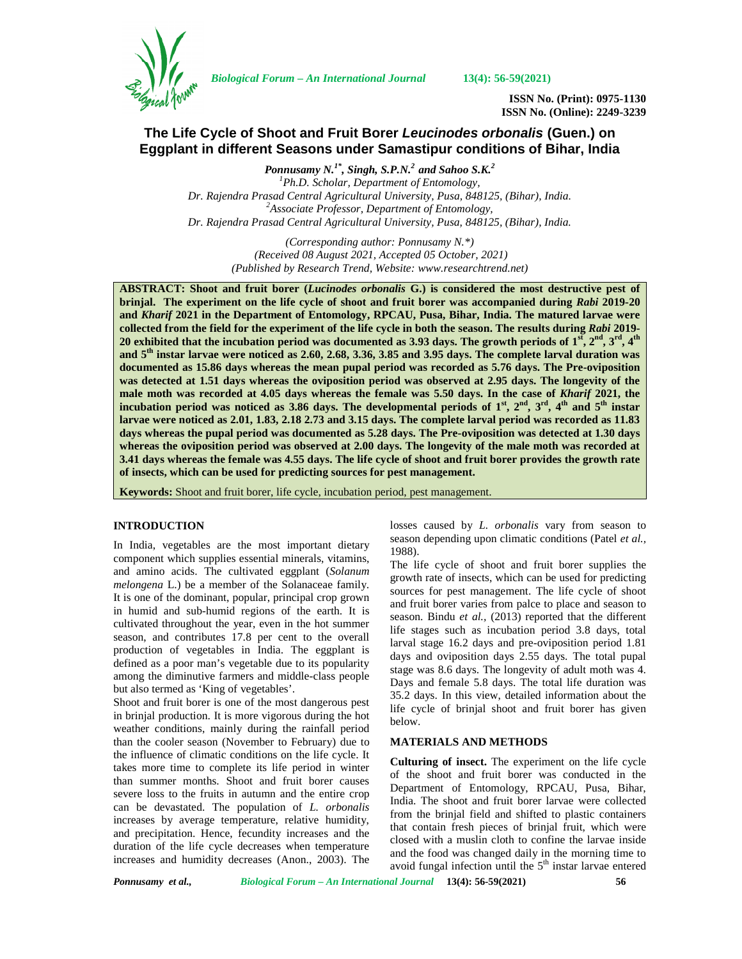

*Biological Forum – An International Journal* **13(4): 56-59(2021)**

**ISSN No. (Print): 0975-1130 ISSN No. (Online): 2249-3239**

# **The Life Cycle of Shoot and Fruit Borer** *Leucinodes orbonalis* **(Guen.) on Eggplant in different Seasons under Samastipur conditions of Bihar, India**

*Ponnusamy N.1\* , Singh, S.P.N.<sup>2</sup> and Sahoo S.K.<sup>2</sup> <sup>1</sup>Ph.D. Scholar, Department of Entomology, Dr. Rajendra Prasad Central Agricultural University, Pusa, 848125, (Bihar), India. <sup>2</sup>Associate Professor, Department of Entomology, Dr. Rajendra Prasad Central Agricultural University, Pusa, 848125, (Bihar), India.*

> *(Corresponding author: Ponnusamy N.\*) (Received 08 August 2021, Accepted 05 October, 2021) (Published by Research Trend, Website: [www.researchtrend.net\)](www.researchtrend.net)*

**ABSTRACT: Shoot and fruit borer (***Lucinodes orbonalis* **G.) is considered the most destructive pest of brinjal. The experiment on the life cycle of shoot and fruit borer was accompanied during** *Rabi* **2019-20 and** *Kharif* **2021 in the Department of Entomology, RPCAU, Pusa, Bihar, India. The matured larvae were collected from the field for the experiment of the life cycle in both the season. The results during** *Rabi* **2019- 20 exhibited that the incubation period was documented as 3.93 days. The growth periods of 1st, 2nd, 3rd, 4th and 5th instar larvae were noticed as 2.60, 2.68, 3.36, 3.85 and 3.95 days. The complete larval duration was documented as 15.86 days whereas the mean pupal period was recorded as 5.76 days. The Pre-oviposition was detected at 1.51 days whereas the oviposition period was observed at 2.95 days. The longevity of the male moth was recorded at 4.05 days whereas the female was 5.50 days. In the case of** *Kharif* **2021, the incubation period was noticed as 3.86 days. The developmental periods of**  $1^{\text{st}}$ **,**  $2^{\text{nd}}$ **,**  $3^{\text{rd}}$ **,**  $4^{\text{th}}$  **and**  $5^{\text{th}}$  **instar larvae were noticed as 2.01, 1.83, 2.18 2.73 and 3.15 days. The complete larval period was recorded as 11.83 days whereas the pupal period was documented as 5.28 days. The Pre-oviposition was detected at 1.30 days whereas the oviposition period was observed at 2.00 days. The longevity of the male moth was recorded at 3.41 days whereas the female was 4.55 days. The life cycle of shoot and fruit borer provides the growth rate of insects, which can be used for predicting sources for pest management.**

**Keywords:** Shoot and fruit borer, life cycle, incubation period, pest management.

## **INTRODUCTION**

In India, vegetables are the most important dietary component which supplies essential minerals, vitamins, and amino acids. The cultivated eggplant (*Solanum melongena* L.) be a member of the Solanaceae family. It is one of the dominant, popular, principal crop grown in humid and sub-humid regions of the earth. It is cultivated throughout the year, even in the hot summer season, and contributes 17.8 per cent to the overall production of vegetables in India. The eggplant is defined as a poor man's vegetable due to its popularity among the diminutive farmers and middle-class people but also termed as 'King of vegetables'.

Shoot and fruit borer is one of the most dangerous pest in brinjal production. It is more vigorous during the hot weather conditions, mainly during the rainfall period than the cooler season (November to February) due to the influence of climatic conditions on the life cycle. It takes more time to complete its life period in winter than summer months. Shoot and fruit borer causes severe loss to the fruits in autumn and the entire crop can be devastated. The population of *L. orbonalis* increases by average temperature, relative humidity, and precipitation. Hence, fecundity increases and the duration of the life cycle decreases when temperature increases and humidity decreases (Anon., 2003). The losses caused by *L. orbonalis* vary from season to season depending upon climatic conditions (Patel *et al.,* 1988).

The life cycle of shoot and fruit borer supplies the growth rate of insects, which can be used for predicting sources for pest management. The life cycle of shoot and fruit borer varies from palce to place and season to season. Bindu *et al.,* (2013) reported that the different life stages such as incubation period 3.8 days, total larval stage 16.2 days and pre-oviposition period 1.81 days and oviposition days 2.55 days. The total pupal stage was 8.6 days. The longevity of adult moth was 4. Days and female 5.8 days. The total life duration was 35.2 days. In this view, detailed information about the life cycle of brinjal shoot and fruit borer has given below.

#### **MATERIALS AND METHODS**

**Culturing of insect.** The experiment on the life cycle of the shoot and fruit borer was conducted in the Department of Entomology, RPCAU, Pusa, Bihar, India. The shoot and fruit borer larvae were collected from the brinjal field and shifted to plastic containers that contain fresh pieces of brinjal fruit, which were closed with a muslin cloth to confine the larvae inside and the food was changed daily in the morning time to avoid fungal infection until the  $5<sup>th</sup>$  instar larvae entered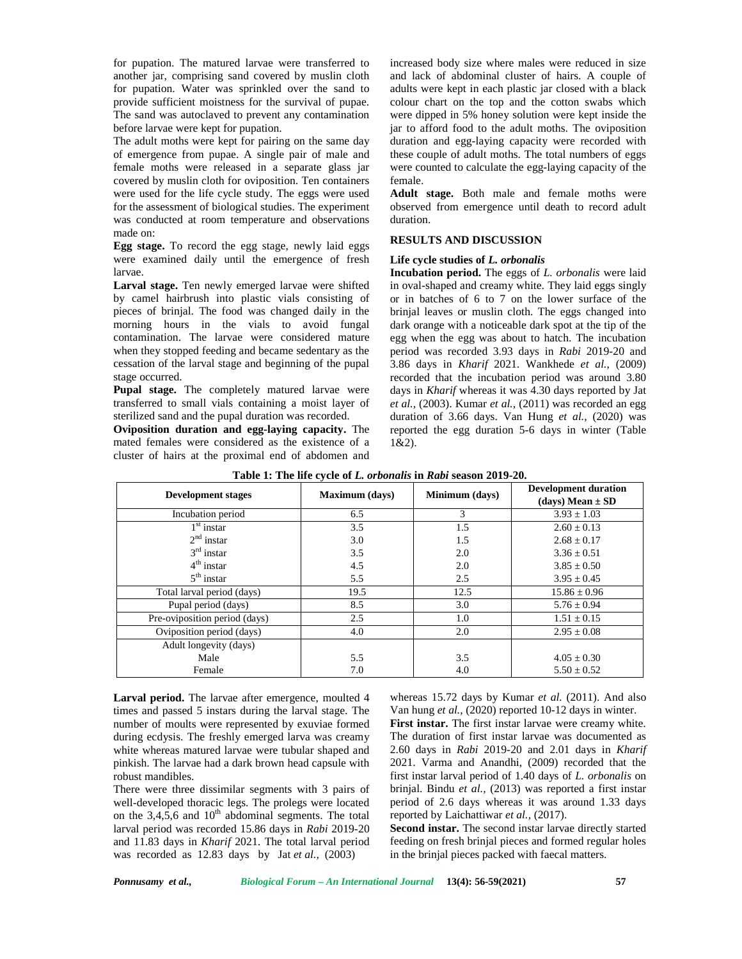for pupation. The matured larvae were transferred to another jar, comprising sand covered by muslin cloth for pupation. Water was sprinkled over the sand to provide sufficient moistness for the survival of pupae. The sand was autoclaved to prevent any contamination before larvae were kept for pupation.

The adult moths were kept for pairing on the same day of emergence from pupae. A single pair of male and female moths were released in a separate glass jar covered by muslin cloth for oviposition. Ten containers were used for the life cycle study. The eggs were used for the assessment of biological studies. The experiment was conducted at room temperature and observations made on:

**Egg stage.** To record the egg stage, newly laid eggs were examined daily until the emergence of fresh larvae.

**Larval stage.** Ten newly emerged larvae were shifted by camel hairbrush into plastic vials consisting of pieces of brinjal. The food was changed daily in the morning hours in the vials to avoid fungal contamination. The larvae were considered mature when they stopped feeding and became sedentary as the cessation of the larval stage and beginning of the pupal stage occurred.

**Pupal stage.** The completely matured larvae were transferred to small vials containing a moist layer of sterilized sand and the pupal duration was recorded.

**Oviposition duration and egg-laying capacity.** The mated females were considered as the existence of a cluster of hairs at the proximal end of abdomen and

increased body size where males were reduced in size and lack of abdominal cluster of hairs. A couple of adults were kept in each plastic jar closed with a black colour chart on the top and the cotton swabs which were dipped in 5% honey solution were kept inside the jar to afford food to the adult moths. The oviposition duration and egg-laying capacity were recorded with these couple of adult moths. The total numbers of eggs were counted to calculate the egg-laying capacity of the female.

**Adult stage.** Both male and female moths were observed from emergence until death to record adult duration.

## **RESULTS AND DISCUSSION**

### **Life cycle studies of** *L. orbonalis*

**Incubation period.** The eggs of *L. orbonalis* were laid in oval-shaped and creamy white. They laid eggs singly or in batches of 6 to 7 on the lower surface of the brinjal leaves or muslin cloth. The eggs changed into dark orange with a noticeable dark spot at the tip of the egg when the egg was about to hatch. The incubation period was recorded 3.93 days in *Rabi* 2019-20 and 3.86 days in *Kharif* 2021. Wankhede *et al.,* (2009) recorded that the incubation period was around 3.80 days in *Kharif* whereas it was 4.30 days reported by Jat *et al.,* (2003). Kumar *et al.,* (2011) was recorded an egg duration of 3.66 days. Van Hung *et al.,* (2020) was reported the egg duration 5-6 days in winter (Table 1&2).

| <b>Development stages</b>     | <b>Maximum</b> (days) | Minimum (days) | <b>Development duration</b><br>(days) Mean $\pm$ SD |
|-------------------------------|-----------------------|----------------|-----------------------------------------------------|
| Incubation period             | 6.5                   | 3              | $3.93 \pm 1.03$                                     |
| $1st$ instar                  | 3.5                   | 1.5            | $2.60 \pm 0.13$                                     |
| $2nd$ instar                  | 3.0                   | 1.5            | $2.68 \pm 0.17$                                     |
| $3rd$ instar                  | 3.5                   | 2.0            | $3.36 \pm 0.51$                                     |
| $4th$ instar                  | 4.5                   | 2.0            | $3.85 \pm 0.50$                                     |
| $5th$ instar                  | 5.5                   | 2.5            | $3.95 \pm 0.45$                                     |
| Total larval period (days)    | 19.5                  | 12.5           | $15.86 \pm 0.96$                                    |
| Pupal period (days)           | 8.5                   | 3.0            | $5.76 \pm 0.94$                                     |
| Pre-oviposition period (days) | 2.5                   | 1.0            | $1.51 \pm 0.15$                                     |
| Oviposition period (days)     | 4.0                   | 2.0            | $2.95 \pm 0.08$                                     |
| Adult longevity (days)        |                       |                |                                                     |
| Male                          | 5.5                   | 3.5            | $4.05 \pm 0.30$                                     |
| Female                        | 7.0                   | 4.0            | $5.50 \pm 0.52$                                     |

**Table 1: The life cycle of** *L. orbonalis* **in** *Rabi***season 2019-20.**

Larval period. The larvae after emergence, moulted 4 times and passed 5 instars during the larval stage. The number of moults were represented by exuviae formed during ecdysis. The freshly emerged larva was creamy white whereas matured larvae were tubular shaped and pinkish. The larvae had a dark brown head capsule with robust mandibles.

There were three dissimilar segments with 3 pairs of well-developed thoracic legs. The prolegs were located on the  $3,4,5,6$  and  $10<sup>th</sup>$  abdominal segments. The total larval period was recorded 15.86 days in *Rabi* 2019-20 and 11.83 days in *Kharif* 2021. The total larval period was recorded as 12.83 days by Jat*et al.,* (2003)

whereas 15.72 days by Kumar *et al.* (2011). And also Van hung *et al.,* (2020) reported 10-12 days in winter.

**First instar.** The first instar larvae were creamy white. The duration of first instar larvae was documented as 2.60 days in *Rabi* 2019-20 and 2.01 days in *Kharif* 2021. Varma and Anandhi, (2009) recorded that the first instar larval period of 1.40 days of *L. orbonalis* on brinjal. Bindu *et al.,* (2013) was reported a first instar period of 2.6 days whereas it was around 1.33 days reported by Laichattiwar *et al.,* (2017).

**Second instar.** The second instar larvae directly started feeding on fresh brinjal pieces and formed regular holes in the brinjal pieces packed with faecal matters.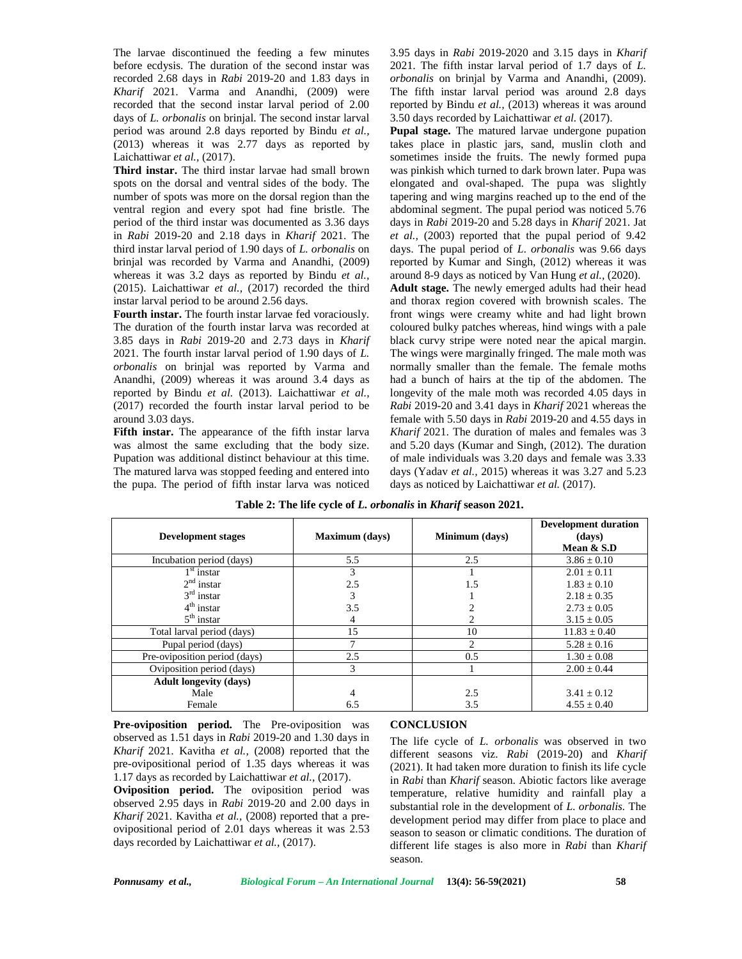The larvae discontinued the feeding a few minutes before ecdysis. The duration of the second instar was recorded 2.68 days in *Rabi* 2019-20 and 1.83 days in *Kharif* 2021. Varma and Anandhi, (2009) were recorded that the second instar larval period of 2.00 days of *L. orbonalis* on brinjal. The second instar larval period was around 2.8 days reported by Bindu *et al.,* (2013) whereas it was 2.77 days as reported by Laichattiwar *et al.,* (2017).

**Third instar.** The third instar larvae had small brown spots on the dorsal and ventral sides of the body. The number of spots was more on the dorsal region than the ventral region and every spot had fine bristle. The period of the third instar was documented as 3.36 days in *Rabi* 2019-20 and 2.18 days in *Kharif* 2021. The third instar larval period of 1.90 days of *L. orbonalis* on brinjal was recorded by Varma and Anandhi, (2009) whereas it was 3.2 days as reported by Bindu *et al.,* (2015). Laichattiwar *et al.,* (2017) recorded the third instar larval period to be around 2.56 days.

**Fourth instar.** The fourth instar larvae fed voraciously. The duration of the fourth instar larva was recorded at 3.85 days in *Rabi* 2019-20 and 2.73 days in *Kharif* 2021. The fourth instar larval period of 1.90 days of *L. orbonalis* on brinjal was reported by Varma and Anandhi, (2009) whereas it was around 3.4 days as reported by Bindu *et al.* (2013). Laichattiwar *et al.,* (2017) recorded the fourth instar larval period to be around 3.03 days.

**Fifth instar.** The appearance of the fifth instar larva was almost the same excluding that the body size. Pupation was additional distinct behaviour at this time. The matured larva was stopped feeding and entered into the pupa. The period of fifth instar larva was noticed 3.95 days in *Rabi* 2019-2020 and 3.15 days in *Kharif* 2021. The fifth instar larval period of 1.7 days of *L. orbonalis* on brinjal by Varma and Anandhi, (2009). The fifth instar larval period was around 2.8 days reported by Bindu *et al.,* (2013) whereas it was around 3.50 days recorded by Laichattiwar *et al.* (2017).

**Pupal stage.** The matured larvae undergone pupation takes place in plastic jars, sand, muslin cloth and sometimes inside the fruits. The newly formed pupa was pinkish which turned to dark brown later. Pupa was elongated and oval-shaped. The pupa was slightly tapering and wing margins reached up to the end of the abdominal segment. The pupal period was noticed 5.76 days in *Rabi* 2019-20 and 5.28 days in *Kharif* 2021. Jat *et al.,* (2003) reported that the pupal period of 9.42 days. The pupal period of *L*. *orbonalis* was 9.66 days reported by Kumar and Singh*,* (2012) whereas it was around 8-9 days as noticed by Van Hung *et al.,* (2020).

**Adult stage.** The newly emerged adults had their head and thorax region covered with brownish scales. The front wings were creamy white and had light brown coloured bulky patches whereas, hind wings with a pale black curvy stripe were noted near the apical margin. The wings were marginally fringed. The male moth was normally smaller than the female. The female moths had a bunch of hairs at the tip of the abdomen. The longevity of the male moth was recorded 4.05 days in *Rabi* 2019-20 and 3.41 days in *Kharif* 2021 whereas the female with 5.50 days in *Rabi* 2019-20 and 4.55 days in *Kharif* 2021. The duration of males and females was 3 and 5.20 days (Kumar and Singh*,* (2012). The duration of male individuals was 3.20 days and female was 3.33 days (Yadav *et al.,* 2015) whereas it was 3.27 and 5.23 days as noticed by Laichattiwar et al. (2017).

| <b>Development stages</b>     | <b>Maximum</b> (days) | Minimum (days)              | <b>Development duration</b><br>(days) |
|-------------------------------|-----------------------|-----------------------------|---------------------------------------|
|                               |                       |                             | Mean $&$ S.D                          |
| Incubation period (days)      | 5.5                   | 2.5                         | $3.86 \pm 0.10$                       |
| $1st$ instar                  | $\mathcal{F}$         |                             | $2.01 \pm 0.11$                       |
| $2nd$ instar                  | 2.5                   | 1.5                         | $1.83 \pm 0.10$                       |
| $3rd$ instar                  |                       |                             | $2.18 \pm 0.35$                       |
| $4th$ instar                  | 3.5                   |                             | $2.73 \pm 0.05$                       |
| $5th$ instar                  |                       |                             | $3.15 \pm 0.05$                       |
| Total larval period (days)    | 15                    | 10                          | $11.83 \pm 0.40$                      |
| Pupal period (days)           |                       | $\mathcal{D}_{\mathcal{L}}$ | $5.28 \pm 0.16$                       |
| Pre-oviposition period (days) | 2.5                   | 0.5                         | $1.30 \pm 0.08$                       |
| Oviposition period (days)     | 3                     |                             | $2.00 \pm 0.44$                       |
| <b>Adult longevity (days)</b> |                       |                             |                                       |
| Male                          | 4                     | 2.5                         | $3.41 \pm 0.12$                       |
| Female                        | 6.5                   | 3.5                         | $4.55 \pm 0.40$                       |

**Table 2: The life cycle of** *L. orbonalis* **in** *Kharif* **season 2021.**

**Pre-oviposition period.** The Pre-oviposition was observed as 1.51 days in *Rabi* 2019-20 and 1.30 days in *Kharif* 2021. Kavitha *et al.,* (2008) reported that the pre-ovipositional period of 1.35 days whereas it was 1.17 days as recorded by Laichattiwar *et al.,* (2017). **Oviposition period.** The oviposition period was observed 2.95 days in *Rabi* 2019-20 and 2.00 days in *Kharif* 2021. Kavitha *et al.,* (2008) reported that a pre ovipositional period of 2.01 days whereas it was 2.53 days recorded by Laichattiwar *et al.,* (2017).

#### **CONCLUSION**

The life cycle of *L. orbonalis* was observed in two different seasons viz. *Rabi* (2019-20) and *Kharif* (2021). It had taken more duration to finish its life cycle in *Rabi* than *Kharif* season. Abiotic factors like average temperature, relative humidity and rainfall play a substantial role in the development of *L. orbonalis.* The development period may differ from place to place and season to season or climatic conditions. The duration of different life stages is also more in *Rabi* than *Kharif* season.